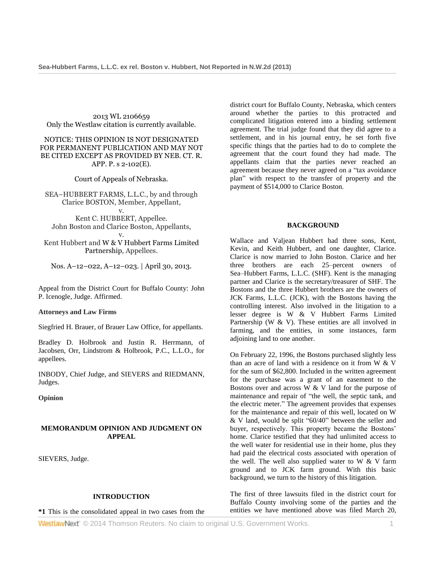2013 WL 2106659 Only the Westlaw citation is currently available.

## NOTICE: THIS OPINION IS NOT DESIGNATED FOR PERMANENT PUBLICATION AND MAY NOT BE CITED EXCEPT AS PROVIDED BY NEB. CT. R. APP. P. s 2-102(E).

Court of Appeals of Nebraska.

SEA–HUBBERT FARMS, L.L.C., by and through Clarice BOSTON, Member, Appellant, v.

Kent C. HUBBERT, Appellee. John Boston and Clarice Boston, Appellants,

v. Kent Hubbert and [W & V Hubbert Farms Limited](http://www.westlaw.com/Search/Results.html?query=advanced%3a+OAID(5023369356)&saveJuris=False&contentType=BUSINESS-INVESTIGATOR&startIndex=1&contextData=(sc.Default)&categoryPageUrl=Home%2fCompanyInvestigator&originationContext=document&vr=3.0&rs=cblt1.0&transitionType=DocumentItem)  [Partnership,](http://www.westlaw.com/Search/Results.html?query=advanced%3a+OAID(5023369356)&saveJuris=False&contentType=BUSINESS-INVESTIGATOR&startIndex=1&contextData=(sc.Default)&categoryPageUrl=Home%2fCompanyInvestigator&originationContext=document&vr=3.0&rs=cblt1.0&transitionType=DocumentItem) Appellees.

Nos. A–12–022, A–12–023. | April 30, 2013.

Appeal from the District Court for Buffalo County: [John](http://www.westlaw.com/Link/Document/FullText?findType=h&pubNum=176284&cite=0173874402&originatingDoc=I98f92c0bbe9411e2981ea20c4f198a69&refType=RQ&originationContext=document&vr=3.0&rs=cblt1.0&transitionType=DocumentItem&contextData=(sc.Search))  [P. Icenogle,](http://www.westlaw.com/Link/Document/FullText?findType=h&pubNum=176284&cite=0173874402&originatingDoc=I98f92c0bbe9411e2981ea20c4f198a69&refType=RQ&originationContext=document&vr=3.0&rs=cblt1.0&transitionType=DocumentItem&contextData=(sc.Search)) Judge. Affirmed.

#### **Attorneys and Law Firms**

[Siegfried H. Brauer,](http://www.westlaw.com/Link/Document/FullText?findType=h&pubNum=176284&cite=0147813801&originatingDoc=I98f92c0bbe9411e2981ea20c4f198a69&refType=RQ&originationContext=document&vr=3.0&rs=cblt1.0&transitionType=DocumentItem&contextData=(sc.Search)) of Brauer Law Office, for appellants.

[Bradley D. Holbrook](http://www.westlaw.com/Link/Document/FullText?findType=h&pubNum=176284&cite=0318913701&originatingDoc=I98f92c0bbe9411e2981ea20c4f198a69&refType=RQ&originationContext=document&vr=3.0&rs=cblt1.0&transitionType=DocumentItem&contextData=(sc.Search)) and [Justin R. Herrmann,](http://www.westlaw.com/Link/Document/FullText?findType=h&pubNum=176284&cite=0416909801&originatingDoc=I98f92c0bbe9411e2981ea20c4f198a69&refType=RQ&originationContext=document&vr=3.0&rs=cblt1.0&transitionType=DocumentItem&contextData=(sc.Search)) of Jacobsen, Orr, Lindstrom & Holbrook, P.C., L.L.O., for appellees.

[INBODY,](http://www.westlaw.com/Link/Document/FullText?findType=h&pubNum=176284&cite=0140051701&originatingDoc=I98f92c0bbe9411e2981ea20c4f198a69&refType=RQ&originationContext=document&vr=3.0&rs=cblt1.0&transitionType=DocumentItem&contextData=(sc.Search)) Chief Judge, and [SIEVERS](http://www.westlaw.com/Link/Document/FullText?findType=h&pubNum=176284&cite=0208161101&originatingDoc=I98f92c0bbe9411e2981ea20c4f198a69&refType=RQ&originationContext=document&vr=3.0&rs=cblt1.0&transitionType=DocumentItem&contextData=(sc.Search)) and [RIEDMANN,](http://www.westlaw.com/Link/Document/FullText?findType=h&pubNum=176284&cite=0338043001&originatingDoc=I98f92c0bbe9411e2981ea20c4f198a69&refType=RQ&originationContext=document&vr=3.0&rs=cblt1.0&transitionType=DocumentItem&contextData=(sc.Search)) Judges.

**Opinion**

### **MEMORANDUM OPINION AND JUDGMENT ON APPEAL**

[SIEVERS,](http://www.westlaw.com/Link/Document/FullText?findType=h&pubNum=176284&cite=0208161101&originatingDoc=I98f92c0bbe9411e2981ea20c4f198a69&refType=RQ&originationContext=document&vr=3.0&rs=cblt1.0&transitionType=DocumentItem&contextData=(sc.Search)) Judge.

# **INTRODUCTION**

**\*1** This is the consolidated appeal in two cases from the

district court for Buffalo County, Nebraska, which centers around whether the parties to this protracted and complicated litigation entered into a binding settlement agreement. The trial judge found that they did agree to a settlement, and in his journal entry, he set forth five specific things that the parties had to do to complete the agreement that the court found they had made. The appellants claim that the parties never reached an agreement because they never agreed on a "tax avoidance plan" with respect to the transfer of property and the payment of \$514,000 to Clarice Boston.

### **BACKGROUND**

Wallace and Valjean Hubbert had three sons, Kent, Kevin, and Keith Hubbert, and one daughter, Clarice. Clarice is now married to John Boston. Clarice and her three brothers are each 25–percent owners of Sea–Hubbert Farms, L.L.C. (SHF). Kent is the managing partner and Clarice is the secretary/treasurer of SHF. The Bostons and the three Hubbert brothers are the owners of JCK Farms, L.L.C. (JCK), with the Bostons having the controlling interest. Also involved in the litigation to a lesser degree is W & V Hubbert Farms Limited Partnership (W  $\&$  V). These entities are all involved in farming, and the entities, in some instances, farm adjoining land to one another.

On February 22, 1996, the Bostons purchased slightly less than an acre of land with a residence on it from W & V for the sum of \$62,800. Included in the written agreement for the purchase was a grant of an easement to the Bostons over and across  $\overline{W}$  & V land for the purpose of maintenance and repair of "the well, the septic tank, and the electric meter." The agreement provides that expenses for the maintenance and repair of this well, located on W & V land, would be split "60/40" between the seller and buyer, respectively. This property became the Bostons' home. Clarice testified that they had unlimited access to the well water for residential use in their home, plus they had paid the electrical costs associated with operation of the well. The well also supplied water to W  $&$  V farm ground and to JCK farm ground. With this basic background, we turn to the history of this litigation.

The first of three lawsuits filed in the district court for Buffalo County involving some of the parties and the entities we have mentioned above was filed March 20,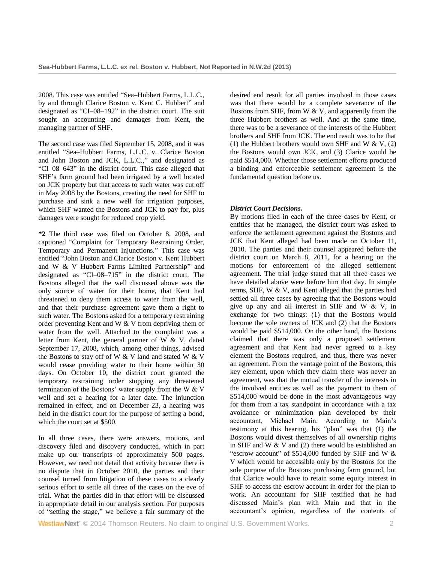2008. This case was entitled "Sea–Hubbert Farms, L.L.C., by and through Clarice Boston v. Kent C. Hubbert" and designated as "CI–08–192" in the district court. The suit sought an accounting and damages from Kent, the managing partner of SHF.

The second case was filed September 15, 2008, and it was entitled "Sea–Hubbert Farms, L.L.C. v. Clarice Boston and John Boston and JCK, L.L.C.," and designated as "CI–08–643" in the district court. This case alleged that SHF's farm ground had been irrigated by a well located on JCK property but that access to such water was cut off in May 2008 by the Bostons, creating the need for SHF to purchase and sink a new well for irrigation purposes, which SHF wanted the Bostons and JCK to pay for, plus damages were sought for reduced crop yield.

**\*2** The third case was filed on October 8, 2008, and captioned "Complaint for Temporary Restraining Order, Temporary and Permanent Injunctions." This case was entitled "John Boston and Clarice Boston v. Kent Hubbert and W & V Hubbert Farms Limited Partnership" and designated as "CI–08–715" in the district court. The Bostons alleged that the well discussed above was the only source of water for their home, that Kent had threatened to deny them access to water from the well, and that their purchase agreement gave them a right to such water. The Bostons asked for a temporary restraining order preventing Kent and W & V from depriving them of water from the well. Attached to the complaint was a letter from Kent, the general partner of W & V, dated September 17, 2008, which, among other things, advised the Bostons to stay off of W & V land and stated W & V would cease providing water to their home within 30 days. On October 10, the district court granted the temporary restraining order stopping any threatened termination of the Bostons' water supply from the W & V well and set a hearing for a later date. The injunction remained in effect, and on December 23, a hearing was held in the district court for the purpose of setting a bond, which the court set at \$500.

In all three cases, there were answers, motions, and discovery filed and discovery conducted, which in part make up our transcripts of approximately 500 pages. However, we need not detail that activity because there is no dispute that in October 2010, the parties and their counsel turned from litigation of these cases to a clearly serious effort to settle all three of the cases on the eve of trial. What the parties did in that effort will be discussed in appropriate detail in our analysis section. For purposes of "setting the stage," we believe a fair summary of the desired end result for all parties involved in those cases was that there would be a complete severance of the Bostons from SHF, from W & V, and apparently from the three Hubbert brothers as well. And at the same time, there was to be a severance of the interests of the Hubbert brothers and SHF from JCK. The end result was to be that (1) the Hubbert brothers would own SHF and W  $& V, (2)$ the Bostons would own JCK, and (3) Clarice would be paid \$514,000. Whether those settlement efforts produced a binding and enforceable settlement agreement is the fundamental question before us.

# *District Court Decisions.*

By motions filed in each of the three cases by Kent, or entities that he managed, the district court was asked to enforce the settlement agreement against the Bostons and JCK that Kent alleged had been made on October 11, 2010. The parties and their counsel appeared before the district court on March 8, 2011, for a hearing on the motions for enforcement of the alleged settlement agreement. The trial judge stated that all three cases we have detailed above were before him that day. In simple terms, SHF, W & V, and Kent alleged that the parties had settled all three cases by agreeing that the Bostons would give up any and all interest in SHF and W & V, in exchange for two things: (1) that the Bostons would become the sole owners of JCK and (2) that the Bostons would be paid \$514,000. On the other hand, the Bostons claimed that there was only a proposed settlement agreement and that Kent had never agreed to a key element the Bostons required, and thus, there was never an agreement. From the vantage point of the Bostons, this key element, upon which they claim there was never an agreement, was that the mutual transfer of the interests in the involved entities as well as the payment to them of \$514,000 would be done in the most advantageous way for them from a tax standpoint in accordance with a tax avoidance or minimization plan developed by their accountant, Michael Main. According to Main's testimony at this hearing, his "plan" was that (1) the Bostons would divest themselves of all ownership rights in SHF and W & V and (2) there would be established an "escrow account" of \$514,000 funded by SHF and W & V which would be accessible only by the Bostons for the sole purpose of the Bostons purchasing farm ground, but that Clarice would have to retain some equity interest in SHF to access the escrow account in order for the plan to work. An accountant for SHF testified that he had discussed Main's plan with Main and that in the accountant's opinion, regardless of the contents of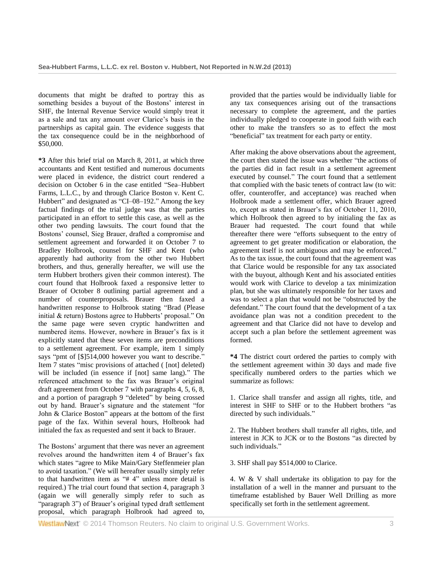documents that might be drafted to portray this as something besides a buyout of the Bostons' interest in SHF, the Internal Revenue Service would simply treat it as a sale and tax any amount over Clarice's basis in the partnerships as capital gain. The evidence suggests that the tax consequence could be in the neighborhood of \$50,000.

**\*3** After this brief trial on March 8, 2011, at which three accountants and Kent testified and numerous documents were placed in evidence, the district court rendered a decision on October 6 in the case entitled "Sea–Hubbert Farms, L.L.C., by and through Clarice Boston v. Kent C. Hubbert" and designated as "CI–08–192." Among the key factual findings of the trial judge was that the parties participated in an effort to settle this case, as well as the other two pending lawsuits. The court found that the Bostons' counsel, Sieg Brauer, drafted a compromise and settlement agreement and forwarded it on October 7 to Bradley Holbrook, counsel for SHF and Kent (who apparently had authority from the other two Hubbert brothers, and thus, generally hereafter, we will use the term Hubbert brothers given their common interest). The court found that Holbrook faxed a responsive letter to Brauer of October 8 outlining partial agreement and a number of counterproposals. Brauer then faxed a handwritten response to Holbrook stating "Brad (Please initial & return) Bostons agree to Hubberts' proposal." On the same page were seven cryptic handwritten and numbered items. However, nowhere in Brauer's fax is it explicitly stated that these seven items are preconditions to a settlement agreement. For example, item 1 simply says "pmt of [\$]514,000 however you want to describe." Item 7 states "misc provisions of attached ( [not] deleted) will be included (in essence if [not] same lang)." The referenced attachment to the fax was Brauer's original draft agreement from October 7 with paragraphs 4, 5, 6, 8, and a portion of paragraph 9 "deleted" by being crossed out by hand. Brauer's signature and the statement "for John & Clarice Boston" appears at the bottom of the first page of the fax. Within several hours, Holbrook had initialed the fax as requested and sent it back to Brauer.

The Bostons' argument that there was never an agreement revolves around the handwritten item 4 of Brauer's fax which states "agree to Mike Main/Gary Steffenmeier plan to avoid taxation." (We will hereafter usually simply refer to that handwritten item as "# 4" unless more detail is required.) The trial court found that section 4, paragraph 3 (again we will generally simply refer to such as "paragraph 3") of Brauer's original typed draft settlement proposal, which paragraph Holbrook had agreed to, provided that the parties would be individually liable for any tax consequences arising out of the transactions necessary to complete the agreement, and the parties individually pledged to cooperate in good faith with each other to make the transfers so as to effect the most "beneficial" tax treatment for each party or entity.

After making the above observations about the agreement, the court then stated the issue was whether "the actions of the parties did in fact result in a settlement agreement executed by counsel." The court found that a settlement that complied with the basic tenets of contract law (to wit: offer, counteroffer, and acceptance) was reached when Holbrook made a settlement offer, which Brauer agreed to, except as stated in Brauer's fax of October 11, 2010, which Holbrook then agreed to by initialing the fax as Brauer had requested. The court found that while thereafter there were "efforts subsequent to the entry of agreement to get greater modification or elaboration, the agreement itself is not ambiguous and may be enforced." As to the tax issue, the court found that the agreement was that Clarice would be responsible for any tax associated with the buyout, although Kent and his associated entities would work with Clarice to develop a tax minimization plan, but she was ultimately responsible for her taxes and was to select a plan that would not be "obstructed by the defendant." The court found that the development of a tax avoidance plan was not a condition precedent to the agreement and that Clarice did not have to develop and accept such a plan before the settlement agreement was formed.

**\*4** The district court ordered the parties to comply with the settlement agreement within 30 days and made five specifically numbered orders to the parties which we summarize as follows:

1. Clarice shall transfer and assign all rights, title, and interest in SHF to SHF or to the Hubbert brothers "as directed by such individuals."

2. The Hubbert brothers shall transfer all rights, title, and interest in JCK to JCK or to the Bostons "as directed by such individuals."

3. SHF shall pay \$514,000 to Clarice.

4. W & V shall undertake its obligation to pay for the installation of a well in the manner and pursuant to the timeframe established by Bauer Well Drilling as more specifically set forth in the settlement agreement.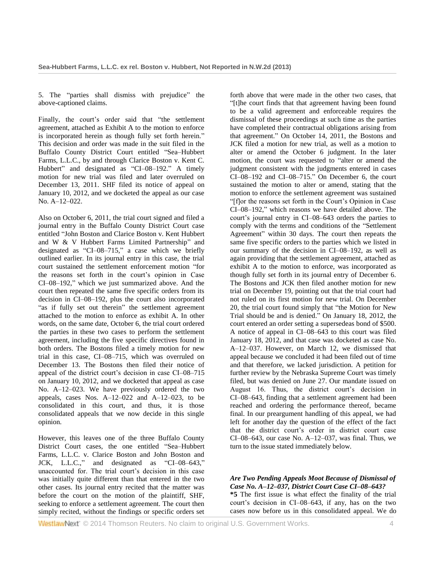5. The "parties shall dismiss with prejudice" the above-captioned claims.

Finally, the court's order said that "the settlement agreement, attached as Exhibit A to the motion to enforce is incorporated herein as though fully set forth herein." This decision and order was made in the suit filed in the Buffalo County District Court entitled "Sea–Hubbert Farms, L.L.C., by and through Clarice Boston v. Kent C. Hubbert" and designated as "CI–08–192." A timely motion for new trial was filed and later overruled on December 13, 2011. SHF filed its notice of appeal on January 10, 2012, and we docketed the appeal as our case No. A–12–022.

Also on October 6, 2011, the trial court signed and filed a journal entry in the Buffalo County District Court case entitled "John Boston and Clarice Boston v. Kent Hubbert and W & V Hubbert Farms Limited Partnership" and designated as "CI–08–715," a case which we briefly outlined earlier. In its journal entry in this case, the trial court sustained the settlement enforcement motion "for the reasons set forth in the court's opinion in Case CI–08–192," which we just summarized above. And the court then repeated the same five specific orders from its decision in CI–08–192, plus the court also incorporated "as if fully set out therein" the settlement agreement attached to the motion to enforce as exhibit A. In other words, on the same date, October 6, the trial court ordered the parties in these two cases to perform the settlement agreement, including the five specific directives found in both orders. The Bostons filed a timely motion for new trial in this case, CI–08–715, which was overruled on December 13. The Bostons then filed their notice of appeal of the district court's decision in case CI–08–715 on January 10, 2012, and we docketed that appeal as case No. A–12–023. We have previously ordered the two appeals, cases Nos.  $A-12-022$  and  $A-12-023$ , to be consolidated in this court, and thus, it is those consolidated appeals that we now decide in this single opinion.

However, this leaves one of the three Buffalo County District Court cases, the one entitled "Sea–Hubbert Farms, L.L.C. v. Clarice Boston and John Boston and JCK, L.L.C.," and designated as "CI–08–643," unaccounted for. The trial court's decision in this case was initially quite different than that entered in the two other cases. Its journal entry recited that the matter was before the court on the motion of the plaintiff, SHF, seeking to enforce a settlement agreement. The court then simply recited, without the findings or specific orders set

forth above that were made in the other two cases, that "[t]he court finds that that agreement having been found to be a valid agreement and enforceable requires the dismissal of these proceedings at such time as the parties have completed their contractual obligations arising from that agreement." On October 14, 2011, the Bostons and JCK filed a motion for new trial, as well as a motion to alter or amend the October 6 judgment. In the later motion, the court was requested to "alter or amend the judgment consistent with the judgments entered in cases CI–08–192 and CI–08–715." On December 6, the court sustained the motion to alter or amend, stating that the motion to enforce the settlement agreement was sustained "[f]or the reasons set forth in the Court's Opinion in Case CI–08–192," which reasons we have detailed above. The court's journal entry in CI–08–643 orders the parties to comply with the terms and conditions of the "Settlement Agreement" within 30 days. The court then repeats the same five specific orders to the parties which we listed in our summary of the decision in CI–08–192, as well as again providing that the settlement agreement, attached as exhibit A to the motion to enforce, was incorporated as though fully set forth in its journal entry of December 6. The Bostons and JCK then filed another motion for new trial on December 19, pointing out that the trial court had not ruled on its first motion for new trial. On December 20, the trial court found simply that "the Motion for New Trial should be and is denied." On January 18, 2012, the court entered an order setting a supersedeas bond of \$500. A notice of appeal in CI–08–643 to this court was filed January 18, 2012, and that case was docketed as case No. A–12–037. However, on March 12, we dismissed that appeal because we concluded it had been filed out of time and that therefore, we lacked jurisdiction. A petition for further review by the Nebraska Supreme Court was timely filed, but was denied on June 27. Our mandate issued on August 16. Thus, the district court's decision in CI–08–643, finding that a settlement agreement had been reached and ordering the performance thereof, became final. In our preargument handling of this appeal, we had left for another day the question of the effect of the fact that the district court's order in district court case  $CI-08-643$ , our case No.  $A-12-037$ , was final. Thus, we turn to the issue stated immediately below.

## *Are Two Pending Appeals Moot Because of Dismissal of Case No. A–12–037, District Court Case CI–08–643?*

**\*5** The first issue is what effect the finality of the trial court's decision in CI–08–643, if any, has on the two cases now before us in this consolidated appeal. We do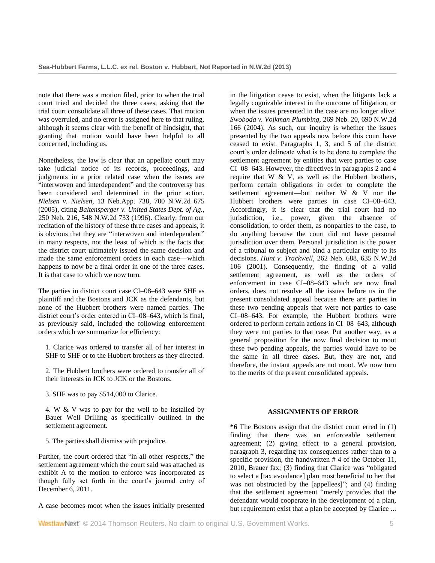note that there was a motion filed, prior to when the trial court tried and decided the three cases, asking that the trial court consolidate all three of these cases. That motion was overruled, and no error is assigned here to that ruling, although it seems clear with the benefit of hindsight, that granting that motion would have been helpful to all concerned, including us.

Nonetheless, the law is clear that an appellate court may take judicial notice of its records, proceedings, and judgments in a prior related case when the issues are "interwoven and interdependent" and the controversy has been considered and determined in the prior action. *Nielsen v. Nielsen,* [13 Neb.App. 738, 700 N.W.2d 675](http://www.westlaw.com/Link/Document/FullText?findType=Y&serNum=2006990926&pubNum=595&originationContext=document&vr=3.0&rs=cblt1.0&transitionType=DocumentItem&contextData=(sc.Search))  [\(2005\),](http://www.westlaw.com/Link/Document/FullText?findType=Y&serNum=2006990926&pubNum=595&originationContext=document&vr=3.0&rs=cblt1.0&transitionType=DocumentItem&contextData=(sc.Search)) citing *[Baltensperger v. United States Dept. of Ag.,](http://www.westlaw.com/Link/Document/FullText?findType=Y&serNum=1996130591&pubNum=595&originationContext=document&vr=3.0&rs=cblt1.0&transitionType=DocumentItem&contextData=(sc.Search))* [250 Neb. 216, 548 N.W.2d 733 \(1996\).](http://www.westlaw.com/Link/Document/FullText?findType=Y&serNum=1996130591&pubNum=595&originationContext=document&vr=3.0&rs=cblt1.0&transitionType=DocumentItem&contextData=(sc.Search)) Clearly, from our recitation of the history of these three cases and appeals, it is obvious that they are "interwoven and interdependent" in many respects, not the least of which is the facts that the district court ultimately issued the same decision and made the same enforcement orders in each case—which happens to now be a final order in one of the three cases. It is that case to which we now turn.

The parties in district court case CI–08–643 were SHF as plaintiff and the Bostons and JCK as the defendants, but none of the Hubbert brothers were named parties. The district court's order entered in CI–08–643, which is final, as previously said, included the following enforcement orders which we summarize for efficiency:

1. Clarice was ordered to transfer all of her interest in SHF to SHF or to the Hubbert brothers as they directed.

2. The Hubbert brothers were ordered to transfer all of their interests in JCK to JCK or the Bostons.

3. SHF was to pay \$514,000 to Clarice.

4. W & V was to pay for the well to be installed by Bauer Well Drilling as specifically outlined in the settlement agreement.

5. The parties shall dismiss with prejudice.

Further, the court ordered that "in all other respects," the settlement agreement which the court said was attached as exhibit A to the motion to enforce was incorporated as though fully set forth in the court's journal entry of December 6, 2011.

A case becomes moot when the issues initially presented

in the litigation cease to exist, when the litigants lack a legally cognizable interest in the outcome of litigation, or when the issues presented in the case are no longer alive. *[Swoboda v. Volkman Plumbing,](http://www.westlaw.com/Link/Document/FullText?findType=Y&serNum=2005828980&pubNum=595&originationContext=document&vr=3.0&rs=cblt1.0&transitionType=DocumentItem&contextData=(sc.Search))* 269 Neb. 20, 690 N.W.2d [166 \(2004\).](http://www.westlaw.com/Link/Document/FullText?findType=Y&serNum=2005828980&pubNum=595&originationContext=document&vr=3.0&rs=cblt1.0&transitionType=DocumentItem&contextData=(sc.Search)) As such, our inquiry is whether the issues presented by the two appeals now before this court have ceased to exist. Paragraphs 1, 3, and 5 of the district court's order delineate what is to be done to complete the settlement agreement by entities that were parties to case CI–08–643. However, the directives in paragraphs 2 and 4 require that  $W \& V$ , as well as the Hubbert brothers, perform certain obligations in order to complete the settlement agreement—but neither W & V nor the Hubbert brothers were parties in case CI–08–643. Accordingly, it is clear that the trial court had no jurisdiction, i.e., power, given the absence of consolidation, to order them, as nonparties to the case, to do anything because the court did not have personal jurisdiction over them. Personal jurisdiction is the power of a tribunal to subject and bind a particular entity to its decisions. *Hunt v. Trackwell,* [262 Neb. 688, 635 N.W.2d](http://www.westlaw.com/Link/Document/FullText?findType=Y&serNum=2001882370&pubNum=595&originationContext=document&vr=3.0&rs=cblt1.0&transitionType=DocumentItem&contextData=(sc.Search))  [106 \(2001\).](http://www.westlaw.com/Link/Document/FullText?findType=Y&serNum=2001882370&pubNum=595&originationContext=document&vr=3.0&rs=cblt1.0&transitionType=DocumentItem&contextData=(sc.Search)) Consequently, the finding of a valid settlement agreement, as well as the orders of enforcement in case CI–08–643 which are now final orders, does not resolve all the issues before us in the present consolidated appeal because there are parties in these two pending appeals that were not parties to case CI–08–643. For example, the Hubbert brothers were ordered to perform certain actions in CI–08–643, although they were not parties to that case. Put another way, as a general proposition for the now final decision to moot these two pending appeals, the parties would have to be the same in all three cases. But, they are not, and therefore, the instant appeals are not moot. We now turn to the merits of the present consolidated appeals.

## **ASSIGNMENTS OF ERROR**

**\*6** The Bostons assign that the district court erred in (1) finding that there was an enforceable settlement agreement; (2) giving effect to a general provision, paragraph 3, regarding tax consequences rather than to a specific provision, the handwritten # 4 of the October 11, 2010, Brauer fax; (3) finding that Clarice was "obligated to select a [tax avoidance] plan most beneficial to her that was not obstructed by the [appellees]"; and (4) finding that the settlement agreement "merely provides that the defendant would cooperate in the development of a plan, but requirement exist that a plan be accepted by Clarice ...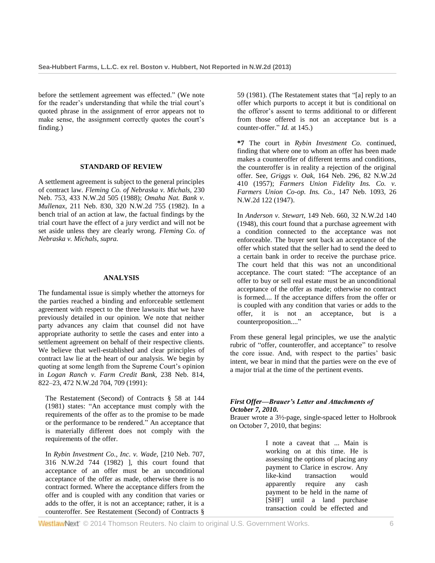before the settlement agreement was effected." (We note for the reader's understanding that while the trial court's quoted phrase in the assignment of error appears not to make sense, the assignment correctly quotes the court's finding.)

#### **STANDARD OF REVIEW**

A settlement agreement is subject to the general principles of contract law. *[Fleming Co. of Nebraska v. Michals,](http://www.westlaw.com/Link/Document/FullText?findType=Y&serNum=1989008396&pubNum=595&originationContext=document&vr=3.0&rs=cblt1.0&transitionType=DocumentItem&contextData=(sc.Search))* 230 [Neb. 753, 433 N.W.2d 505 \(1988\);](http://www.westlaw.com/Link/Document/FullText?findType=Y&serNum=1989008396&pubNum=595&originationContext=document&vr=3.0&rs=cblt1.0&transitionType=DocumentItem&contextData=(sc.Search)) *[Omaha Nat. Bank v.](http://www.westlaw.com/Link/Document/FullText?findType=Y&serNum=1982127078&pubNum=595&originationContext=document&vr=3.0&rs=cblt1.0&transitionType=DocumentItem&contextData=(sc.Search))  Mullenax,* [211 Neb. 830, 320 N.W.2d 755 \(1982\).](http://www.westlaw.com/Link/Document/FullText?findType=Y&serNum=1982127078&pubNum=595&originationContext=document&vr=3.0&rs=cblt1.0&transitionType=DocumentItem&contextData=(sc.Search)) In a bench trial of an action at law, the factual findings by the trial court have the effect of a jury verdict and will not be set aside unless they are clearly wrong. *Fleming Co. of Nebraska v. Michals, supra.*

#### **ANALYSIS**

The fundamental issue is simply whether the attorneys for the parties reached a binding and enforceable settlement agreement with respect to the three lawsuits that we have previously detailed in our opinion. We note that neither party advances any claim that counsel did not have appropriate authority to settle the cases and enter into a settlement agreement on behalf of their respective clients. We believe that well-established and clear principles of contract law lie at the heart of our analysis. We begin by quoting at some length from the Supreme Court's opinion in *[Logan Ranch v. Farm Credit Bank,](http://www.westlaw.com/Link/Document/FullText?findType=Y&serNum=1991133671&pubNum=595&fi=co_pp_sp_595_709&originationContext=document&vr=3.0&rs=cblt1.0&transitionType=DocumentItem&contextData=(sc.Search)#co_pp_sp_595_709)* 238 Neb. 814, [822–23, 472 N.W.2d 704, 709 \(1991\):](http://www.westlaw.com/Link/Document/FullText?findType=Y&serNum=1991133671&pubNum=595&fi=co_pp_sp_595_709&originationContext=document&vr=3.0&rs=cblt1.0&transitionType=DocumentItem&contextData=(sc.Search)#co_pp_sp_595_709)

The [Restatement \(Second\) of Contracts § 58 at 144](http://www.westlaw.com/Link/Document/FullText?findType=Y&serNum=0289906931&pubNum=0101603&originationContext=document&vr=3.0&rs=cblt1.0&transitionType=DocumentItem&contextData=(sc.Search))  [\(1981\)](http://www.westlaw.com/Link/Document/FullText?findType=Y&serNum=0289906931&pubNum=0101603&originationContext=document&vr=3.0&rs=cblt1.0&transitionType=DocumentItem&contextData=(sc.Search)) states: "An acceptance must comply with the requirements of the offer as to the promise to be made or the performance to be rendered." An acceptance that is materially different does not comply with the requirements of the offer.

In *[Rybin Investment Co., Inc. v. Wade,](http://www.westlaw.com/Link/Document/FullText?findType=Y&serNum=1982111527&pubNum=595&originationContext=document&vr=3.0&rs=cblt1.0&transitionType=DocumentItem&contextData=(sc.Search))* [210 Neb. 707, [316 N.W.2d 744 \(1982\)](http://www.westlaw.com/Link/Document/FullText?findType=Y&serNum=1982111527&pubNum=595&originationContext=document&vr=3.0&rs=cblt1.0&transitionType=DocumentItem&contextData=(sc.Search)) ], this court found that acceptance of an offer must be an unconditional acceptance of the offer as made, otherwise there is no contract formed. Where the acceptance differs from the offer and is coupled with any condition that varies or adds to the offer, it is not an acceptance; rather, it is a counteroffer. See [Restatement \(Second\) of Contracts §](http://www.westlaw.com/Link/Document/FullText?findType=Y&serNum=0289906932&pubNum=0101603&originationContext=document&vr=3.0&rs=cblt1.0&transitionType=DocumentItem&contextData=(sc.Search))  [59 \(1981\).](http://www.westlaw.com/Link/Document/FullText?findType=Y&serNum=0289906932&pubNum=0101603&originationContext=document&vr=3.0&rs=cblt1.0&transitionType=DocumentItem&contextData=(sc.Search)) (The Restatement states that "[a] reply to an offer which purports to accept it but is conditional on the offeror's assent to terms additional to or different from those offered is not an acceptance but is a counter-offer." *Id.* at 145.)

**\*7** The court in *Rybin Investment Co.* continued, finding that where one to whom an offer has been made makes a counteroffer of different terms and conditions, the counteroffer is in reality a rejection of the original offer. See, *Griggs v. Oak,* [164 Neb. 296, 82 N.W.2d](http://www.westlaw.com/Link/Document/FullText?findType=Y&serNum=1957112906&pubNum=595&originationContext=document&vr=3.0&rs=cblt1.0&transitionType=DocumentItem&contextData=(sc.Search))  [410 \(1957\);](http://www.westlaw.com/Link/Document/FullText?findType=Y&serNum=1957112906&pubNum=595&originationContext=document&vr=3.0&rs=cblt1.0&transitionType=DocumentItem&contextData=(sc.Search)) *[Farmers Union Fidelity Ins. Co. v.](http://www.westlaw.com/Link/Document/FullText?findType=Y&serNum=1947105101&pubNum=595&originationContext=document&vr=3.0&rs=cblt1.0&transitionType=DocumentItem&contextData=(sc.Search))  [Farmers Union Co-op. Ins. Co.,](http://www.westlaw.com/Link/Document/FullText?findType=Y&serNum=1947105101&pubNum=595&originationContext=document&vr=3.0&rs=cblt1.0&transitionType=DocumentItem&contextData=(sc.Search))* 147 Neb. 1093, 26 [N.W.2d 122 \(1947\).](http://www.westlaw.com/Link/Document/FullText?findType=Y&serNum=1947105101&pubNum=595&originationContext=document&vr=3.0&rs=cblt1.0&transitionType=DocumentItem&contextData=(sc.Search))

In *Anderson v. Stewart,* [149 Neb. 660, 32 N.W.2d 140](http://www.westlaw.com/Link/Document/FullText?findType=Y&serNum=1948105642&pubNum=595&originationContext=document&vr=3.0&rs=cblt1.0&transitionType=DocumentItem&contextData=(sc.Search))  [\(1948\),](http://www.westlaw.com/Link/Document/FullText?findType=Y&serNum=1948105642&pubNum=595&originationContext=document&vr=3.0&rs=cblt1.0&transitionType=DocumentItem&contextData=(sc.Search)) this court found that a purchase agreement with a condition connected to the acceptance was not enforceable. The buyer sent back an acceptance of the offer which stated that the seller had to send the deed to a certain bank in order to receive the purchase price. The court held that this was not an unconditional acceptance. The court stated: "The acceptance of an offer to buy or sell real estate must be an unconditional acceptance of the offer as made; otherwise no contract is formed.... If the acceptance differs from the offer or is coupled with any condition that varies or adds to the offer, it is not an acceptance, but is a counterproposition...."

From these general legal principles, we use the analytic rubric of "offer, counteroffer, and acceptance" to resolve the core issue. And, with respect to the parties' basic intent, we bear in mind that the parties were on the eve of a major trial at the time of the pertinent events.

## *First Offer—Brauer's Letter and Attachments of October 7, 2010.*

Brauer wrote a 3½-page, single-spaced letter to Holbrook on October 7, 2010, that begins:

> I note a caveat that ... Main is working on at this time. He is assessing the options of placing any payment to Clarice in escrow. Any like-kind transaction would apparently require any cash payment to be held in the name of [SHF] until a land purchase transaction could be effected and

WestlawNext' © 2014 Thomson Reuters. No claim to original U.S. Government Works. 66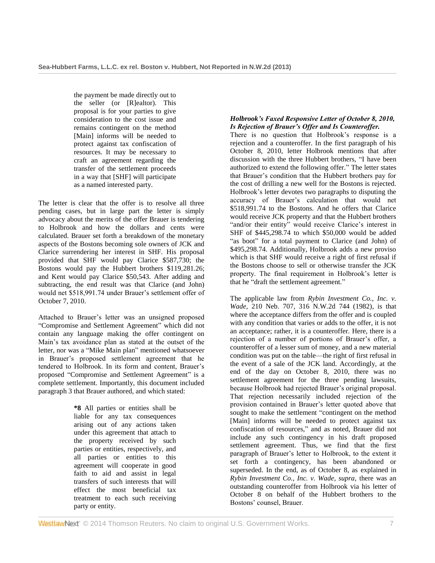the payment be made directly out to the seller (or [R]ealtor). This proposal is for your parties to give consideration to the cost issue and remains contingent on the method [Main] informs will be needed to protect against tax confiscation of resources. It may be necessary to craft an agreement regarding the transfer of the settlement proceeds in a way that [SHF] will participate as a named interested party.

The letter is clear that the offer is to resolve all three pending cases, but in large part the letter is simply advocacy about the merits of the offer Brauer is tendering to Holbrook and how the dollars and cents were calculated. Brauer set forth a breakdown of the monetary aspects of the Bostons becoming sole owners of JCK and Clarice surrendering her interest in SHF. His proposal provided that SHF would pay Clarice \$587,730; the Bostons would pay the Hubbert brothers \$119,281.26; and Kent would pay Clarice \$50,543. After adding and subtracting, the end result was that Clarice (and John) would net \$518,991.74 under Brauer's settlement offer of October 7, 2010.

Attached to Brauer's letter was an unsigned proposed "Compromise and Settlement Agreement" which did not contain any language making the offer contingent on Main's tax avoidance plan as stated at the outset of the letter, nor was a "Mike Main plan" mentioned whatsoever in Brauer's proposed settlement agreement that he tendered to Holbrook. In its form and content, Brauer's proposed "Compromise and Settlement Agreement" is a complete settlement. Importantly, this document included paragraph 3 that Brauer authored, and which stated:

> **\*8** All parties or entities shall be liable for any tax consequences arising out of any actions taken under this agreement that attach to the property received by such parties or entities, respectively, and all parties or entities to this agreement will cooperate in good faith to aid and assist in legal transfers of such interests that will effect the most beneficial tax treatment to each such receiving party or entity.

# *Holbrook's Faxed Responsive Letter of October 8, 2010, Is Rejection of Brauer's Offer and Is Counteroffer.*

There is no question that Holbrook's response is a rejection and a counteroffer. In the first paragraph of his October 8, 2010, letter Holbrook mentions that after discussion with the three Hubbert brothers, "I have been authorized to extend the following offer." The letter states that Brauer's condition that the Hubbert brothers pay for the cost of drilling a new well for the Bostons is rejected. Holbrook's letter devotes two paragraphs to disputing the accuracy of Brauer's calculation that would net \$518,991.74 to the Bostons. And he offers that Clarice would receive JCK property and that the Hubbert brothers "and/or their entity" would receive Clarice's interest in SHF of \$445,298.74 to which \$50,000 would be added "as boot" for a total payment to Clarice (and John) of \$495,298.74. Additionally, Holbrook adds a new proviso which is that SHF would receive a right of first refusal if the Bostons choose to sell or otherwise transfer the JCK property. The final requirement in Holbrook's letter is that he "draft the settlement agreement."

The applicable law from *[Rybin Investment Co., Inc. v.](http://www.westlaw.com/Link/Document/FullText?findType=Y&serNum=1982111527&pubNum=595&originationContext=document&vr=3.0&rs=cblt1.0&transitionType=DocumentItem&contextData=(sc.Search))  Wade,* [210 Neb. 707, 316 N.W.2d 744 \(1982\),](http://www.westlaw.com/Link/Document/FullText?findType=Y&serNum=1982111527&pubNum=595&originationContext=document&vr=3.0&rs=cblt1.0&transitionType=DocumentItem&contextData=(sc.Search)) is that where the acceptance differs from the offer and is coupled with any condition that varies or adds to the offer, it is not an acceptance; rather, it is a counteroffer. Here, there is a rejection of a number of portions of Brauer's offer, a counteroffer of a lesser sum of money, and a new material condition was put on the table—the right of first refusal in the event of a sale of the JCK land. Accordingly, at the end of the day on October 8, 2010, there was no settlement agreement for the three pending lawsuits, because Holbrook had rejected Brauer's original proposal. That rejection necessarily included rejection of the provision contained in Brauer's letter quoted above that sought to make the settlement "contingent on the method [Main] informs will be needed to protect against tax confiscation of resources," and as noted, Brauer did not include any such contingency in his draft proposed settlement agreement. Thus, we find that the first paragraph of Brauer's letter to Holbrook, to the extent it set forth a contingency, has been abandoned or superseded. In the end, as of October 8, as explained in *Rybin Investment Co., Inc. v. Wade, supra,* there was an outstanding counteroffer from Holbrook via his letter of October 8 on behalf of the Hubbert brothers to the Bostons' counsel, Brauer.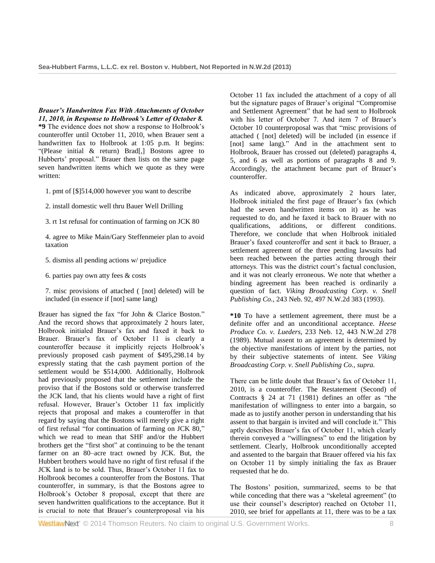*Brauer's Handwritten Fax With Attachments of October 11, 2010, in Response to Holbrook's Letter of October 8.*

**\*9** The evidence does not show a response to Holbrook's counteroffer until October 11, 2010, when Brauer sent a handwritten fax to Holbrook at 1:05 p.m. It begins: "(Please initial & return) Brad[,] Bostons agree to Hubberts' proposal." Brauer then lists on the same page seven handwritten items which we quote as they were written:

- 1. pmt of [\$]514,000 however you want to describe
- 2. install domestic well thru Bauer Well Drilling
- 3. rt 1st refusal for continuation of farming on JCK 80
- 4. agree to Mike Main/Gary Steffenmeier plan to avoid taxation
- 5. dismiss all pending actions w/ prejudice
- 6. parties pay own atty fees & costs
- 7. misc provisions of attached ( [not] deleted) will be included (in essence if [not] same lang)

Brauer has signed the fax "for John & Clarice Boston." And the record shows that approximately 2 hours later, Holbrook initialed Brauer's fax and faxed it back to Brauer. Brauer's fax of October 11 is clearly a counteroffer because it implicitly rejects Holbrook's previously proposed cash payment of \$495,298.14 by expressly stating that the cash payment portion of the settlement would be \$514,000. Additionally, Holbrook had previously proposed that the settlement include the proviso that if the Bostons sold or otherwise transferred the JCK land, that his clients would have a right of first refusal. However, Brauer's October 11 fax implicitly rejects that proposal and makes a counteroffer in that regard by saying that the Bostons will merely give a right of first refusal "for continuation of farming on JCK 80," which we read to mean that SHF and/or the Hubbert brothers get the "first shot" at continuing to be the tenant farmer on an 80–acre tract owned by JCK. But, the Hubbert brothers would have no right of first refusal if the JCK land is to be sold. Thus, Brauer's October 11 fax to Holbrook becomes a counteroffer from the Bostons. That counteroffer, in summary, is that the Bostons agree to Holbrook's October 8 proposal, except that there are seven handwritten qualifications to the acceptance. But it is crucial to note that Brauer's counterproposal via his October 11 fax included the attachment of a copy of all but the signature pages of Brauer's original "Compromise and Settlement Agreement" that he had sent to Holbrook with his letter of October 7. And item 7 of Brauer's October 10 counterproposal was that "misc provisions of attached ( [not] deleted) will be included (in essence if [not] same lang)." And in the attachment sent to Holbrook, Brauer has crossed out (deleted) paragraphs 4, 5, and 6 as well as portions of paragraphs 8 and 9. Accordingly, the attachment became part of Brauer's counteroffer.

As indicated above, approximately 2 hours later, Holbrook initialed the first page of Brauer's fax (which had the seven handwritten items on it) as he was requested to do, and he faxed it back to Brauer with no qualifications, additions, or different conditions. Therefore, we conclude that when Holbrook initialed Brauer's faxed counteroffer and sent it back to Brauer, a settlement agreement of the three pending lawsuits had been reached between the parties acting through their attorneys. This was the district court's factual conclusion, and it was not clearly erroneous. We note that whether a binding agreement has been reached is ordinarily a question of fact. *[Viking Broadcasting Corp. v. Snell](http://www.westlaw.com/Link/Document/FullText?findType=Y&serNum=1993074742&pubNum=595&originationContext=document&vr=3.0&rs=cblt1.0&transitionType=DocumentItem&contextData=(sc.Search))  Publishing Co.,* [243 Neb. 92, 497 N.W.2d 383 \(1993\).](http://www.westlaw.com/Link/Document/FullText?findType=Y&serNum=1993074742&pubNum=595&originationContext=document&vr=3.0&rs=cblt1.0&transitionType=DocumentItem&contextData=(sc.Search))

**\*10** To have a settlement agreement, there must be a definite offer and an unconditional acceptance. *[Heese](http://www.westlaw.com/Link/Document/FullText?findType=Y&serNum=1989118437&pubNum=595&originationContext=document&vr=3.0&rs=cblt1.0&transitionType=DocumentItem&contextData=(sc.Search))  Produce Co. v. Lueders,* [233 Neb. 12, 443 N.W.2d 278](http://www.westlaw.com/Link/Document/FullText?findType=Y&serNum=1989118437&pubNum=595&originationContext=document&vr=3.0&rs=cblt1.0&transitionType=DocumentItem&contextData=(sc.Search))  [\(1989\).](http://www.westlaw.com/Link/Document/FullText?findType=Y&serNum=1989118437&pubNum=595&originationContext=document&vr=3.0&rs=cblt1.0&transitionType=DocumentItem&contextData=(sc.Search)) Mutual assent to an agreement is determined by the objective manifestations of intent by the parties, not by their subjective statements of intent. See *Viking Broadcasting Corp. v. Snell Publishing Co., supra.*

There can be little doubt that Brauer's fax of October 11, 2010, is a counteroffer. The [Restatement \(Second\) of](http://www.westlaw.com/Link/Document/FullText?findType=Y&serNum=0289906885&pubNum=0101603&originationContext=document&vr=3.0&rs=cblt1.0&transitionType=DocumentItem&contextData=(sc.Search))  [Contracts § 24 at 71 \(1981\)](http://www.westlaw.com/Link/Document/FullText?findType=Y&serNum=0289906885&pubNum=0101603&originationContext=document&vr=3.0&rs=cblt1.0&transitionType=DocumentItem&contextData=(sc.Search)) defines an offer as "the manifestation of willingness to enter into a bargain, so made as to justify another person in understanding that his assent to that bargain is invited and will conclude it." This aptly describes Brauer's fax of October 11, which clearly therein conveyed a "willingness" to end the litigation by settlement. Clearly, Holbrook unconditionally accepted and assented to the bargain that Brauer offered via his fax on October 11 by simply initialing the fax as Brauer requested that he do.

The Bostons' position, summarized, seems to be that while conceding that there was a "skeletal agreement" (to use their counsel's descriptor) reached on October 11, 2010, see brief for appellants at 11, there was to be a tax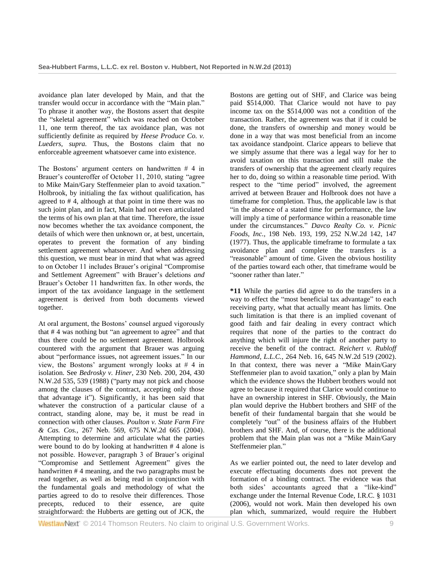avoidance plan later developed by Main, and that the transfer would occur in accordance with the "Main plan." To phrase it another way, the Bostons assert that despite the "skeletal agreement" which was reached on October 11, one term thereof, the tax avoidance plan, was not sufficiently definite as required by *Heese Produce Co. v. Lueders, supra.* Thus, the Bostons claim that no enforceable agreement whatsoever came into existence.

The Bostons' argument centers on handwritten  $# 4$  in Brauer's counteroffer of October 11, 2010, stating "agree to Mike Main/Gary Steffenmeier plan to avoid taxation." Holbrook, by initialing the fax without qualification, has agreed to # 4, although at that point in time there was no such joint plan, and in fact, Main had not even articulated the terms of his own plan at that time. Therefore, the issue now becomes whether the tax avoidance component, the details of which were then unknown or, at best, uncertain, operates to prevent the formation of any binding settlement agreement whatsoever. And when addressing this question, we must bear in mind that what was agreed to on October 11 includes Brauer's original "Compromise and Settlement Agreement" with Brauer's deletions *and* Brauer's October 11 handwritten fax. In other words, the import of the tax avoidance language in the settlement agreement is derived from both documents viewed together.

At oral argument, the Bostons' counsel argued vigorously that # 4 was nothing but "an agreement to agree" and that thus there could be no settlement agreement. Holbrook countered with the argument that Brauer was arguing about "performance issues, not agreement issues." In our view, the Bostons' argument wrongly looks at # 4 in isolation. See *Bedrosky v. Hiner,* [230 Neb. 200, 204, 430](http://www.westlaw.com/Link/Document/FullText?findType=Y&serNum=1988141099&pubNum=595&fi=co_pp_sp_595_539&originationContext=document&vr=3.0&rs=cblt1.0&transitionType=DocumentItem&contextData=(sc.Search)#co_pp_sp_595_539)  [N.W.2d 535, 539 \(1988\)](http://www.westlaw.com/Link/Document/FullText?findType=Y&serNum=1988141099&pubNum=595&fi=co_pp_sp_595_539&originationContext=document&vr=3.0&rs=cblt1.0&transitionType=DocumentItem&contextData=(sc.Search)#co_pp_sp_595_539) ("party may not pick and choose among the clauses of the contract, accepting only those that advantage it"). Significantly, it has been said that whatever the construction of a particular clause of a contract, standing alone, may be, it must be read in connection with other clauses. *[Poulton v. State Farm Fire](http://www.westlaw.com/Link/Document/FullText?findType=Y&serNum=2004210309&pubNum=595&originationContext=document&vr=3.0&rs=cblt1.0&transitionType=DocumentItem&contextData=(sc.Search))  & Cas. Cos.,* [267 Neb. 569, 675 N.W.2d 665 \(2004\).](http://www.westlaw.com/Link/Document/FullText?findType=Y&serNum=2004210309&pubNum=595&originationContext=document&vr=3.0&rs=cblt1.0&transitionType=DocumentItem&contextData=(sc.Search)) Attempting to determine and articulate what the parties were bound to do by looking at handwritten # 4 alone is not possible. However, paragraph 3 of Brauer's original "Compromise and Settlement Agreement" gives the handwritten # 4 meaning, and the two paragraphs must be read together, as well as being read in conjunction with the fundamental goals and methodology of what the parties agreed to do to resolve their differences. Those precepts, reduced to their essence, are quite straightforward: the Hubberts are getting out of JCK, the

Bostons are getting out of SHF, and Clarice was being paid \$514,000. That Clarice would not have to pay income tax on the \$514,000 was not a condition of the transaction. Rather, the agreement was that if it could be done, the transfers of ownership and money would be done in a way that was most beneficial from an income tax avoidance standpoint. Clarice appears to believe that we simply assume that there was a legal way for her to avoid taxation on this transaction and still make the transfers of ownership that the agreement clearly requires her to do, doing so within a reasonable time period. With respect to the "time period" involved, the agreement arrived at between Brauer and Holbrook does not have a timeframe for completion. Thus, the applicable law is that "in the absence of a stated time for performance, the law will imply a time of performance within a reasonable time under the circumstances." *[Davco Realty Co. v. Picnic](http://www.westlaw.com/Link/Document/FullText?findType=Y&serNum=1977110388&pubNum=595&fi=co_pp_sp_595_147&originationContext=document&vr=3.0&rs=cblt1.0&transitionType=DocumentItem&contextData=(sc.Search)#co_pp_sp_595_147)  Foods, Inc.,* [198 Neb. 193, 199, 252 N.W.2d 142, 147](http://www.westlaw.com/Link/Document/FullText?findType=Y&serNum=1977110388&pubNum=595&fi=co_pp_sp_595_147&originationContext=document&vr=3.0&rs=cblt1.0&transitionType=DocumentItem&contextData=(sc.Search)#co_pp_sp_595_147)  [\(1977\).](http://www.westlaw.com/Link/Document/FullText?findType=Y&serNum=1977110388&pubNum=595&fi=co_pp_sp_595_147&originationContext=document&vr=3.0&rs=cblt1.0&transitionType=DocumentItem&contextData=(sc.Search)#co_pp_sp_595_147) Thus, the applicable timeframe to formulate a tax avoidance plan and complete the transfers is a "reasonable" amount of time. Given the obvious hostility of the parties toward each other, that timeframe would be "sooner rather than later."

**\*11** While the parties did agree to do the transfers in a way to effect the "most beneficial tax advantage" to each receiving party, what that actually meant has limits. One such limitation is that there is an implied covenant of good faith and fair dealing in every contract which requires that none of the parties to the contract do anything which will injure the right of another party to receive the benefit of the contract. *[Reichert v. Rubloff](http://www.westlaw.com/Link/Document/FullText?findType=Y&serNum=2002375651&pubNum=595&originationContext=document&vr=3.0&rs=cblt1.0&transitionType=DocumentItem&contextData=(sc.Search))  Hammond, L.L.C.,* [264 Neb. 16, 645 N.W.2d 519 \(2002\).](http://www.westlaw.com/Link/Document/FullText?findType=Y&serNum=2002375651&pubNum=595&originationContext=document&vr=3.0&rs=cblt1.0&transitionType=DocumentItem&contextData=(sc.Search)) In that context, there was never a "Mike Main/Gary Steffenmeier plan to avoid taxation," only a plan by Main which the evidence shows the Hubbert brothers would not agree to because it required that Clarice would continue to have an ownership interest in SHF. Obviously, the Main plan would deprive the Hubbert brothers and SHF of the benefit of their fundamental bargain that she would be completely "out" of the business affairs of the Hubbert brothers and SHF. And, of course, there is the additional problem that the Main plan was not a "Mike Main/Gary Steffenmeier plan."

As we earlier pointed out, the need to later develop and execute effectuating documents does not prevent the formation of a binding contract. The evidence was that both sides' accountants agreed that a "like-kind" exchange under the Internal Revenue Code, [I.R.C. § 1031](http://www.westlaw.com/Link/Document/FullText?findType=L&pubNum=1012823&cite=26USCAS1031&originatingDoc=I98f92c0bbe9411e2981ea20c4f198a69&refType=LQ&originationContext=document&vr=3.0&rs=cblt1.0&transitionType=DocumentItem&contextData=(sc.Search))  [\(2006\),](http://www.westlaw.com/Link/Document/FullText?findType=L&pubNum=1012823&cite=26USCAS1031&originatingDoc=I98f92c0bbe9411e2981ea20c4f198a69&refType=LQ&originationContext=document&vr=3.0&rs=cblt1.0&transitionType=DocumentItem&contextData=(sc.Search)) would not work. Main then developed his own plan which, summarized, would require the Hubbert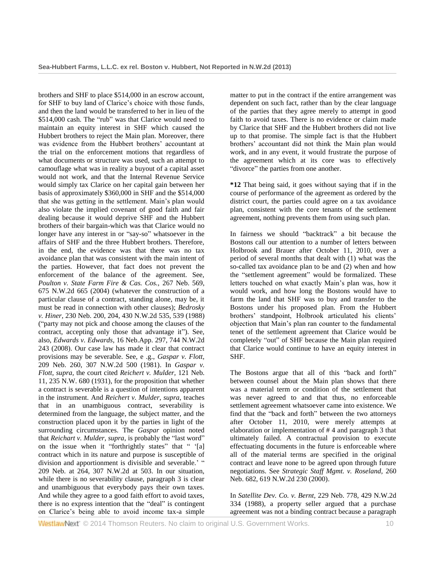brothers and SHF to place \$514,000 in an escrow account, for SHF to buy land of Clarice's choice with those funds, and then the land would be transferred to her in lieu of the \$514,000 cash. The "rub" was that Clarice would need to maintain an equity interest in SHF which caused the Hubbert brothers to reject the Main plan. Moreover, there was evidence from the Hubbert brothers' accountant at the trial on the enforcement motions that regardless of what documents or structure was used, such an attempt to camouflage what was in reality a buyout of a capital asset would not work, and that the Internal Revenue Service would simply tax Clarice on her capital gain between her basis of approximately \$360,000 in SHF and the \$514,000 that she was getting in the settlement. Main's plan would also violate the implied covenant of good faith and fair dealing because it would deprive SHF and the Hubbert brothers of their bargain-which was that Clarice would no longer have any interest in or "say-so" whatsoever in the affairs of SHF and the three Hubbert brothers. Therefore, in the end, the evidence was that there was no tax avoidance plan that was consistent with the main intent of the parties. However, that fact does not prevent the enforcement of the balance of the agreement. See, *[Poulton v. State Farm Fire & Cas. Cos.,](http://www.westlaw.com/Link/Document/FullText?findType=Y&serNum=2004210309&pubNum=595&originationContext=document&vr=3.0&rs=cblt1.0&transitionType=DocumentItem&contextData=(sc.Search))* 267 Neb. 569, [675 N.W.2d 665 \(2004\)](http://www.westlaw.com/Link/Document/FullText?findType=Y&serNum=2004210309&pubNum=595&originationContext=document&vr=3.0&rs=cblt1.0&transitionType=DocumentItem&contextData=(sc.Search)) (whatever the construction of a particular clause of a contract, standing alone, may be, it must be read in connection with other clauses); *[Bedrosky](http://www.westlaw.com/Link/Document/FullText?findType=Y&serNum=1988141099&pubNum=595&fi=co_pp_sp_595_539&originationContext=document&vr=3.0&rs=cblt1.0&transitionType=DocumentItem&contextData=(sc.Search)#co_pp_sp_595_539)  v. Hiner,* [230 Neb. 200, 204, 430 N.W.2d 535, 539 \(1988\)](http://www.westlaw.com/Link/Document/FullText?findType=Y&serNum=1988141099&pubNum=595&fi=co_pp_sp_595_539&originationContext=document&vr=3.0&rs=cblt1.0&transitionType=DocumentItem&contextData=(sc.Search)#co_pp_sp_595_539) ("party may not pick and choose among the clauses of the contract, accepting only those that advantage it"). See, also, *Edwards v. Edwards,* [16 Neb.App. 297, 744 N.W.2d](http://www.westlaw.com/Link/Document/FullText?findType=Y&serNum=2014755499&pubNum=595&originationContext=document&vr=3.0&rs=cblt1.0&transitionType=DocumentItem&contextData=(sc.Search))  [243 \(2008\).](http://www.westlaw.com/Link/Document/FullText?findType=Y&serNum=2014755499&pubNum=595&originationContext=document&vr=3.0&rs=cblt1.0&transitionType=DocumentItem&contextData=(sc.Search)) Our case law has made it clear that contract provisions may be severable. See, e .g., *[Gaspar v. Flott,](http://www.westlaw.com/Link/Document/FullText?findType=Y&serNum=1981128593&pubNum=595&originationContext=document&vr=3.0&rs=cblt1.0&transitionType=DocumentItem&contextData=(sc.Search))* [209 Neb. 260, 307 N.W.2d 500 \(1981\).](http://www.westlaw.com/Link/Document/FullText?findType=Y&serNum=1981128593&pubNum=595&originationContext=document&vr=3.0&rs=cblt1.0&transitionType=DocumentItem&contextData=(sc.Search)) In *Gaspar v. Flott, supra,* the court cited *[Reichert v. Mulder,](http://www.westlaw.com/Link/Document/FullText?findType=Y&serNum=1931108208&pubNum=594&originationContext=document&vr=3.0&rs=cblt1.0&transitionType=DocumentItem&contextData=(sc.Search))* 121 Neb. [11, 235 N.W. 680 \(1931\),](http://www.westlaw.com/Link/Document/FullText?findType=Y&serNum=1931108208&pubNum=594&originationContext=document&vr=3.0&rs=cblt1.0&transitionType=DocumentItem&contextData=(sc.Search)) for the proposition that whether a contract is severable is a question of intentions apparent in the instrument. And *Reichert v. Mulder, supra,* teaches that in an unambiguous contract, severability is determined from the language, the subject matter, and the construction placed upon it by the parties in light of the surrounding circumstances. The *Gaspar* opinion noted that *Reichart v. Mulder, supra,* is probably the "last word" on the issue when it "forthrightly states" that " '[a] contract which in its nature and purpose is susceptible of division and apportionment is divisible and severable.' " [209 Neb. at 264, 307 N.W.2d at 503.](http://www.westlaw.com/Link/Document/FullText?findType=Y&serNum=1981128593&pubNum=595&fi=co_pp_sp_595_503&originationContext=document&vr=3.0&rs=cblt1.0&transitionType=DocumentItem&contextData=(sc.Search)#co_pp_sp_595_503) In our situation, while there is no severability clause, paragraph 3 is clear and unambiguous that everybody pays their own taxes. And while they agree to a good faith effort to avoid taxes, there is no express intention that the "deal" is contingent on Clarice's being able to avoid income tax-a simple

matter to put in the contract if the entire arrangement was dependent on such fact, rather than by the clear language of the parties that they agree merely to attempt in good faith to avoid taxes. There is no evidence or claim made by Clarice that SHF and the Hubbert brothers did not live up to that promise. The simple fact is that the Hubbert brothers' accountant did not think the Main plan would work, and in any event, it would frustrate the purpose of the agreement which at its core was to effectively "divorce" the parties from one another.

**\*12** That being said, it goes without saying that if in the course of performance of the agreement as ordered by the district court, the parties could agree on a tax avoidance plan, consistent with the core tenants of the settlement agreement, nothing prevents them from using such plan.

In fairness we should "backtrack" a bit because the Bostons call our attention to a number of letters between Holbrook and Brauer after October 11, 2010, over a period of several months that dealt with (1) what was the so-called tax avoidance plan to be and (2) when and how the "settlement agreement" would be formalized. These letters touched on what exactly Main's plan was, how it would work, and how long the Bostons would have to farm the land that SHF was to buy and transfer to the Bostons under his proposed plan. From the Hubbert brothers' standpoint, Holbrook articulated his clients' objection that Main's plan ran counter to the fundamental tenet of the settlement agreement that Clarice would be completely "out" of SHF because the Main plan required that Clarice would continue to have an equity interest in SHF.

The Bostons argue that all of this "back and forth" between counsel about the Main plan shows that there was a material term or condition of the settlement that was never agreed to and that thus, no enforceable settlement agreement whatsoever came into existence. We find that the "back and forth" between the two attorneys after October 11, 2010, were merely attempts at elaboration or implementation of # 4 and paragraph 3 that ultimately failed. A contractual provision to execute effectuating documents in the future is enforceable where all of the material terms are specified in the original contract and leave none to be agreed upon through future negotiations. See *[Strategic Staff Mgmt. v. Roseland,](http://www.westlaw.com/Link/Document/FullText?findType=Y&serNum=2000603868&pubNum=595&originationContext=document&vr=3.0&rs=cblt1.0&transitionType=DocumentItem&contextData=(sc.Search))* 260 [Neb. 682, 619 N.W.2d 230 \(2000\).](http://www.westlaw.com/Link/Document/FullText?findType=Y&serNum=2000603868&pubNum=595&originationContext=document&vr=3.0&rs=cblt1.0&transitionType=DocumentItem&contextData=(sc.Search))

In *Satellite Dev. Co. v. Bernt,* [229 Neb. 778, 429 N.W.2d](http://www.westlaw.com/Link/Document/FullText?findType=Y&serNum=1988123067&pubNum=595&originationContext=document&vr=3.0&rs=cblt1.0&transitionType=DocumentItem&contextData=(sc.Search))  [334 \(1988\),](http://www.westlaw.com/Link/Document/FullText?findType=Y&serNum=1988123067&pubNum=595&originationContext=document&vr=3.0&rs=cblt1.0&transitionType=DocumentItem&contextData=(sc.Search)) a property seller argued that a purchase agreement was not a binding contract because a paragraph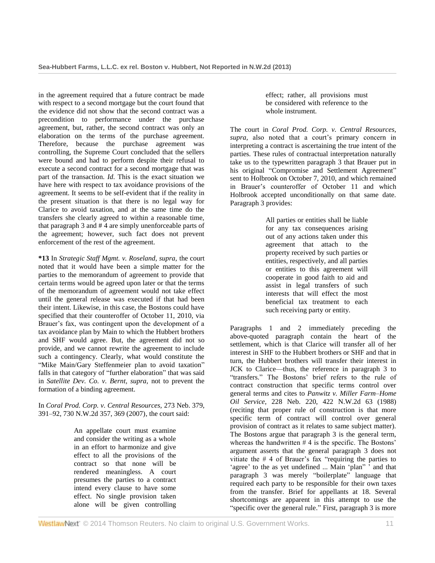in the agreement required that a future contract be made with respect to a second mortgage but the court found that the evidence did not show that the second contract was a precondition to performance under the purchase agreement, but, rather, the second contract was only an elaboration on the terms of the purchase agreement. Therefore, because the purchase agreement was controlling, the Supreme Court concluded that the sellers were bound and had to perform despite their refusal to execute a second contract for a second mortgage that was part of the transaction. *Id.* This is the exact situation we have here with respect to tax avoidance provisions of the agreement. It seems to be self-evident that if the reality in the present situation is that there is no legal way for Clarice to avoid taxation, and at the same time do the transfers she clearly agreed to within a reasonable time, that paragraph 3 and # 4 are simply unenforceable parts of the agreement; however, such fact does not prevent enforcement of the rest of the agreement.

**\*13** In *Strategic Staff Mgmt. v. Roseland, supra,* the court noted that it would have been a simple matter for the parties to the memorandum of agreement to provide that certain terms would be agreed upon later or that the terms of the memorandum of agreement would not take effect until the general release was executed if that had been their intent. Likewise, in this case, the Bostons could have specified that their counteroffer of October 11, 2010, via Brauer's fax, was contingent upon the development of a tax avoidance plan by Main to which the Hubbert brothers and SHF would agree. But, the agreement did not so provide, and we cannot rewrite the agreement to include such a contingency. Clearly, what would constitute the "Mike Main/Gary Steffenmeier plan to avoid taxation" falls in that category of "further elaboration" that was said in *Satellite Dev. Co. v. Bernt, supra,* not to prevent the formation of a binding agreement.

In *[Coral Prod. Corp. v. Central Resources,](http://www.westlaw.com/Link/Document/FullText?findType=Y&serNum=2011997769&pubNum=595&fi=co_pp_sp_595_369&originationContext=document&vr=3.0&rs=cblt1.0&transitionType=DocumentItem&contextData=(sc.Search)#co_pp_sp_595_369)* 273 Neb. 379, [391–92, 730 N.W.2d 357, 369 \(2007\),](http://www.westlaw.com/Link/Document/FullText?findType=Y&serNum=2011997769&pubNum=595&fi=co_pp_sp_595_369&originationContext=document&vr=3.0&rs=cblt1.0&transitionType=DocumentItem&contextData=(sc.Search)#co_pp_sp_595_369) the court said:

> An appellate court must examine and consider the writing as a whole in an effort to harmonize and give effect to all the provisions of the contract so that none will be rendered meaningless. A court presumes the parties to a contract intend every clause to have some effect. No single provision taken alone will be given controlling

effect; rather, all provisions must be considered with reference to the whole instrument.

The court in *Coral Prod. Corp. v. Central Resources, supra,* also noted that a court's primary concern in interpreting a contract is ascertaining the true intent of the parties. These rules of contractual interpretation naturally take us to the typewritten paragraph 3 that Brauer put in his original "Compromise and Settlement Agreement" sent to Holbrook on October 7, 2010, and which remained in Brauer's counteroffer of October 11 and which Holbrook accepted unconditionally on that same date. Paragraph 3 provides:

> All parties or entities shall be liable for any tax consequences arising out of any actions taken under this agreement that attach to the property received by such parties or entities, respectively, and all parties or entities to this agreement will cooperate in good faith to aid and assist in legal transfers of such interests that will effect the most beneficial tax treatment to each such receiving party or entity.

Paragraphs 1 and 2 immediately preceding the above-quoted paragraph contain the heart of the settlement, which is that Clarice will transfer all of her interest in SHF to the Hubbert brothers or SHF and that in turn, the Hubbert brothers will transfer their interest in JCK to Clarice—thus, the reference in paragraph 3 to "transfers." The Bostons' brief refers to the rule of contract construction that specific terms control over general terms and cites to *[Panwitz v. Miller Farm–Home](http://www.westlaw.com/Link/Document/FullText?findType=Y&serNum=1988055702&pubNum=595&originationContext=document&vr=3.0&rs=cblt1.0&transitionType=DocumentItem&contextData=(sc.Search))  Oil Service,* [228 Neb. 220, 422 N.W.2d 63 \(1988\)](http://www.westlaw.com/Link/Document/FullText?findType=Y&serNum=1988055702&pubNum=595&originationContext=document&vr=3.0&rs=cblt1.0&transitionType=DocumentItem&contextData=(sc.Search)) (reciting that proper rule of construction is that more specific term of contract will control over general provision of contract as it relates to same subject matter). The Bostons argue that paragraph 3 is the general term, whereas the handwritten # 4 is the specific. The Bostons' argument asserts that the general paragraph 3 does not vitiate the # 4 of Brauer's fax "requiring the parties to 'agree' to the as yet undefined ... Main 'plan" ' and that paragraph 3 was merely "boilerplate" language that required each party to be responsible for their own taxes from the transfer. Brief for appellants at 18. Several shortcomings are apparent in this attempt to use the "specific over the general rule." First, paragraph 3 is more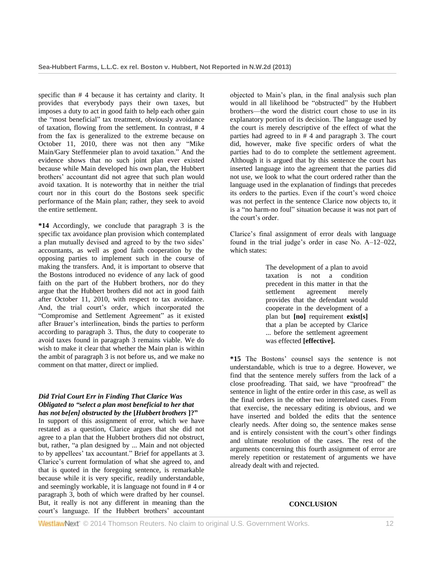specific than # 4 because it has certainty and clarity. It provides that everybody pays their own taxes, but imposes a duty to act in good faith to help each other gain the "most beneficial" tax treatment, obviously avoidance of taxation, flowing from the settlement. In contrast, # 4 from the fax is generalized to the extreme because on October 11, 2010, there was not then any "Mike Main/Gary Steffenmeier plan to avoid taxation." And the evidence shows that no such joint plan ever existed because while Main developed his own plan, the Hubbert brothers' accountant did not agree that such plan would avoid taxation. It is noteworthy that in neither the trial court nor in this court do the Bostons seek specific performance of the Main plan; rather, they seek to avoid the entire settlement.

**\*14** Accordingly, we conclude that paragraph 3 is the specific tax avoidance plan provision which contemplated a plan mutually devised and agreed to by the two sides' accountants, as well as good faith cooperation by the opposing parties to implement such in the course of making the transfers. And, it is important to observe that the Bostons introduced no evidence of any lack of good faith on the part of the Hubbert brothers, nor do they argue that the Hubbert brothers did not act in good faith after October 11, 2010, with respect to tax avoidance. And, the trial court's order, which incorporated the "Compromise and Settlement Agreement" as it existed after Brauer's interlineation, binds the parties to perform according to paragraph 3. Thus, the duty to cooperate to avoid taxes found in paragraph 3 remains viable. We do wish to make it clear that whether the Main plan is within the ambit of paragraph 3 is not before us, and we make no comment on that matter, direct or implied.

#### *Did Trial Court Err in Finding That Clarice Was Obligated to "select a plan most beneficial to her that has not be[en] obstructed by the* **[***Hubbert brothers* **]?"**

In support of this assignment of error, which we have restated as a question, Clarice argues that she did not agree to a plan that the Hubbert brothers did not obstruct, but, rather, "a plan designed by ... Main and not objected to by appellees' tax accountant." Brief for appellants at 3. Clarice's current formulation of what she agreed to, and that is quoted in the foregoing sentence, is remarkable because while it is very specific, readily understandable, and seemingly workable, it is language not found in # 4 or paragraph 3, both of which were drafted by her counsel. But, it really is not any different in meaning than the court's language. If the Hubbert brothers' accountant objected to Main's plan, in the final analysis such plan would in all likelihood be "obstructed" by the Hubbert brothers—the word the district court chose to use in its explanatory portion of its decision. The language used by the court is merely descriptive of the effect of what the parties had agreed to in # 4 and paragraph 3. The court did, however, make five specific orders of what the parties had to do to complete the settlement agreement. Although it is argued that by this sentence the court has inserted language into the agreement that the parties did not use, we look to what the court ordered rather than the language used in the explanation of findings that precedes its orders to the parties. Even if the court's word choice was not perfect in the sentence Clarice now objects to, it is a "no harm-no foul" situation because it was not part of the court's order.

Clarice's final assignment of error deals with language found in the trial judge's order in case No. A–12–022, which states:

> The development of a plan to avoid taxation is not a condition precedent in this matter in that the settlement agreement merely provides that the defendant would cooperate in the development of a plan but **[no]** requirement **exist[s]** that a plan be accepted by Clarice ... before the settlement agreement was effected **[effective].**

**\*15** The Bostons' counsel says the sentence is not understandable, which is true to a degree. However, we find that the sentence merely suffers from the lack of a close proofreading. That said, we have "proofread" the sentence in light of the entire order in this case, as well as the final orders in the other two interrelated cases. From that exercise, the necessary editing is obvious, and we have inserted and bolded the edits that the sentence clearly needs. After doing so, the sentence makes sense and is entirely consistent with the court's other findings and ultimate resolution of the cases. The rest of the arguments concerning this fourth assignment of error are merely repetition or restatement of arguments we have already dealt with and rejected.

### **CONCLUSION**